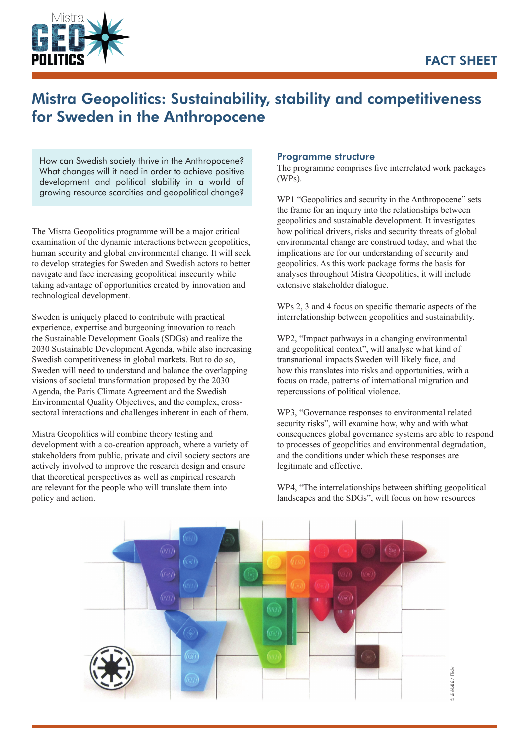

# Mistra Geopolitics: Sustainability, stability and competitiveness for Sweden in the Anthropocene

How can Swedish society thrive in the Anthropocene? What changes will it need in order to achieve positive development and political stability in a world of growing resource scarcities and geopolitical change?

The Mistra Geopolitics programme will be a major critical examination of the dynamic interactions between geopolitics, human security and global environmental change. It will seek to develop strategies for Sweden and Swedish actors to better navigate and face increasing geopolitical insecurity while taking advantage of opportunities created by innovation and technological development.

Sweden is uniquely placed to contribute with practical experience, expertise and burgeoning innovation to reach the Sustainable Development Goals (SDGs) and realize the 2030 Sustainable Development Agenda, while also increasing Swedish competitiveness in global markets. But to do so, Sweden will need to understand and balance the overlapping visions of societal transformation proposed by the 2030 Agenda, the Paris Climate Agreement and the Swedish Environmental Quality Objectives, and the complex, crosssectoral interactions and challenges inherent in each of them.

Mistra Geopolitics will combine theory testing and development with a co-creation approach, where a variety of stakeholders from public, private and civil society sectors are actively involved to improve the research design and ensure that theoretical perspectives as well as empirical research are relevant for the people who will translate them into policy and action.

#### Programme structure

The programme comprises five interrelated work packages (WPs).

WP1 "Geopolitics and security in the Anthropocene" sets the frame for an inquiry into the relationships between geopolitics and sustainable development. It investigates how political drivers, risks and security threats of global environmental change are construed today, and what the implications are for our understanding of security and geopolitics. As this work package forms the basis for analyses throughout Mistra Geopolitics, it will include extensive stakeholder dialogue.

WPs 2, 3 and 4 focus on specific thematic aspects of the interrelationship between geopolitics and sustainability.

WP2, "Impact pathways in a changing environmental and geopolitical context", will analyse what kind of transnational impacts Sweden will likely face, and how this translates into risks and opportunities, with a focus on trade, patterns of international migration and repercussions of political violence.

WP3, "Governance responses to environmental related security risks", will examine how, why and with what consequences global governance systems are able to respond to processes of geopolitics and environmental degradation, and the conditions under which these responses are legitimate and effective.

WP4, "The interrelationships between shifting geopolitical landscapes and the SDGs", will focus on how resources